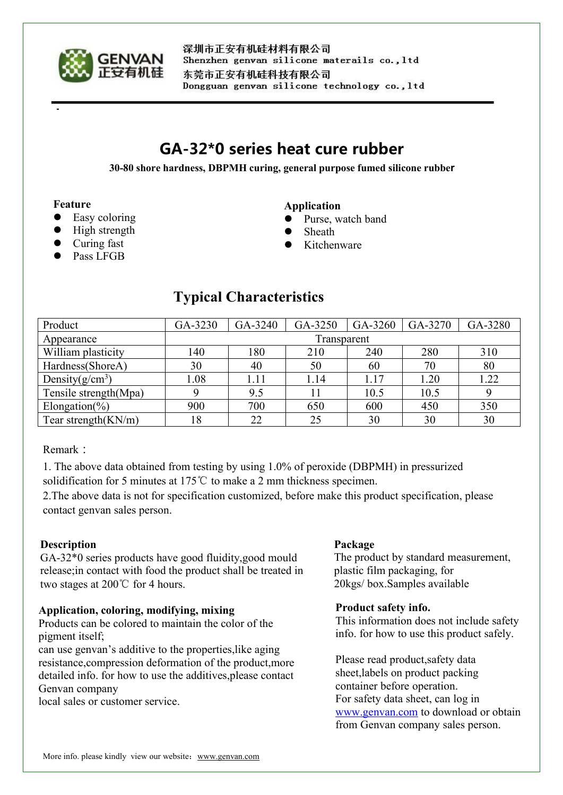

深圳市正安有机硅材料有限公司 Shenzhen genvan silicone materails co., ltd 东莞市正安有机硅科技有限公司 Dongguan genvan silicone technology co., ltd

# **GA-32\*0 series heat cure rubber**

**30-80 shore hardness, DBPMH curing, general purpose fumed silicone rubber**

#### **Feature**

- Easy coloring
- High strength
- Curing fast
- Pass LFGB

#### **Application**

- Purse, watch band
- Sheath
- Kitchenware

## **Typical Characteristics**

| Product                | GA-3230     | GA-3240 | GA-3250 | GA-3260 | GA-3270 | GA-3280 |
|------------------------|-------------|---------|---------|---------|---------|---------|
| Appearance             | Transparent |         |         |         |         |         |
| William plasticity     | 140         | 180     | 210     | 240     | 280     | 310     |
| Hardness(ShoreA)       | 30          | 40      | 50      | 60      | 70      | 80      |
| Density $(g/cm^3)$     | 1.08        | 1.11    | 1.14    | 1.17    | 1.20    | 1.22    |
| Tensile strength(Mpa)  |             | 9.5     |         | 10.5    | 10.5    |         |
| Elongation(%)          | 900         | 700     | 650     | 600     | 450     | 350     |
| Tear strength $(KN/m)$ | 18          | 22      | 25      | 30      | 30      | 30      |

#### Remark:

1. The above data obtained from testing by using 1.0% of peroxide (DBPMH) in pressurized solidification for 5 minutes at 175℃ to make a 2 mm thickness specimen.

2.The above data is not for specification customized, before make this product specification, please contact genvan sales person.

### **Description**

GA-32\*0 series products have good fluidity,good mould release;in contact with food the product shall be treated in **Description**<br>
GA-32<sup>\*</sup>0 series products have good fluidity, good mould<br>
release;in contact with food the product shall be treated in <br>
two stages at 200℃ for 4 hours.<br>
20kgs/ box.Samples available

#### **Application, coloring, modifying, mixing**

Products can be colored to maintain the color of the pigment itself;

can use genvan's additive to the properties,like aging resistance,compression deformation of the product,more detailed info. for how to use the additives,please contact Genvan company

local sales or customer service.

The product by standard measurement, plastic film packaging, for 20kgs/ box.Samples available

#### **Product safety info.**

This information does not include safety info. for how to use this product safely.

Please read product,safety data sheet,labels on product packing container before operation. For safety data sheet, can log in [www.genvan.com](http://www.genvan.com) to download or obtain from Genvan company sales person.